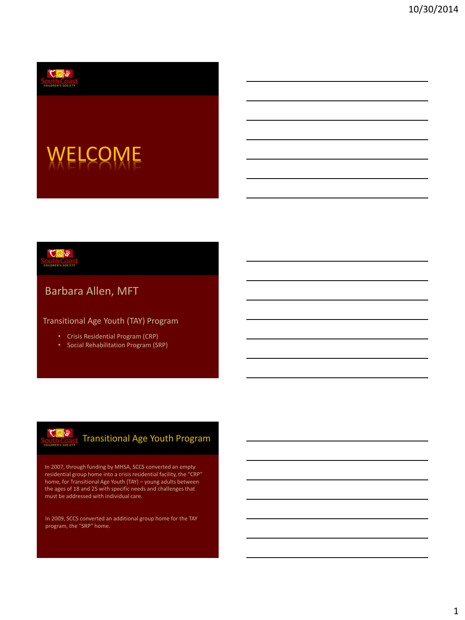

# WELCOME



### Barbara Allen, MFT

Transitional Age Youth (TAY) Program

- Crisis Residential Program (CRP)
- Social Rehabilitation Program (SRP)



### Transitional Age Youth Program

In 2007, through funding by MHSA, SCCS converted an empty residential group home into a crisis residential facility, the "CRP" home, for Transitional Age Youth (TAY) – young adults between the ages of 18 and 25 with specific needs and challenges that must be addressed with individual care.

In 2009, SCCS converted an additional group home for the TAY program, the "SRP" home.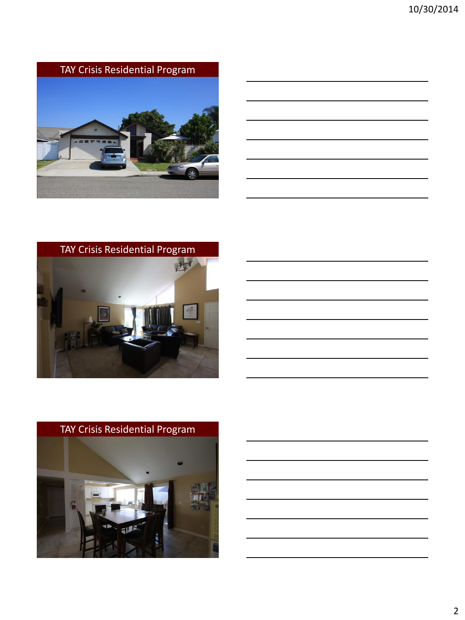TAY Crisis Residential Program





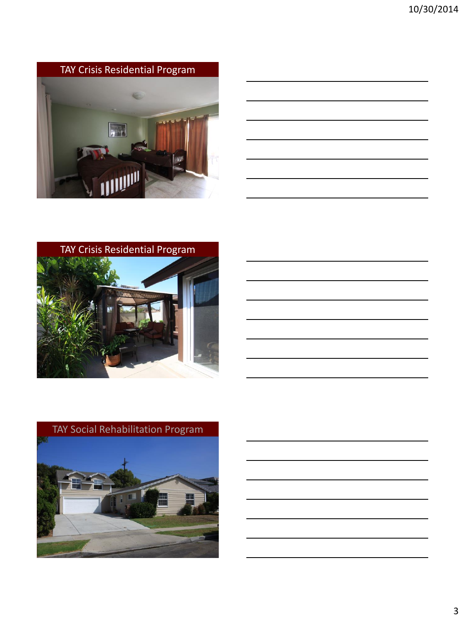







3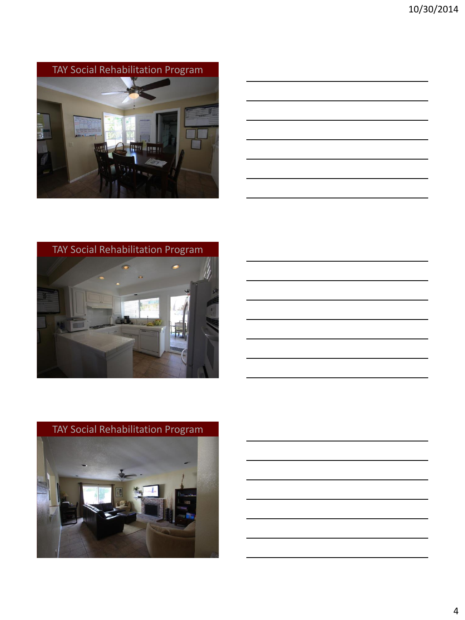TAY Social Rehabilitation Program



| <u> 1989 - Andrea Andrew Maria (h. 1989).</u>                                                                  |  |  |
|----------------------------------------------------------------------------------------------------------------|--|--|
| a sa mga bansang pag-ang pag-ang pag-ang pag-ang pag-ang pag-ang pag-ang pag-ang pag-ang pag-ang pag-ang pag-a |  |  |
|                                                                                                                |  |  |
| <u> 1989 - Johann Stoff, amerikansk politiker (d. 1989)</u>                                                    |  |  |
| <u> 1989 - Johann Stoff, amerikansk politiker (d. 1989)</u>                                                    |  |  |
|                                                                                                                |  |  |





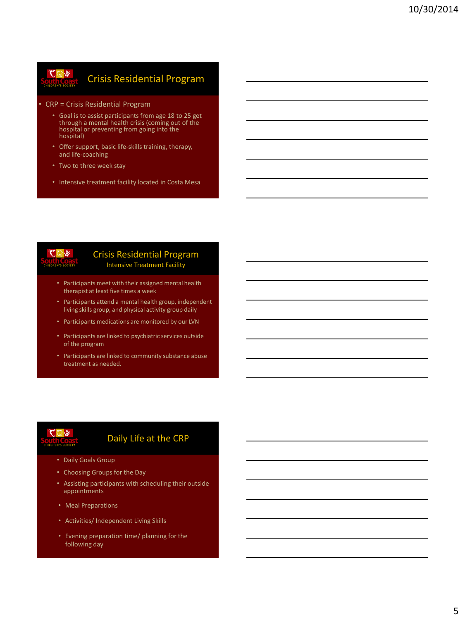#### $\mathcal{L} \mathfrak{D} \mathcal{R}$ Crisis Residential Program

- CRP = Crisis Residential Program
	- Goal is to assist participants from age 18 to 25 get through a mental health crisis (coming out of the hospital or preventing from going into the hospital)
	- Offer support, basic life-skills training, therapy, and life-coaching
	- Two to three week stay
	- Intensive treatment facility located in Costa Mesa



#### Crisis Residential Program Intensive Treatment Facility

- Participants meet with their assigned mental health therapist at least five times a week
- Participants attend a mental health group, independent living skills group, and physical activity group daily
- Participants medications are monitored by our LVN
- Participants are linked to psychiatric services outside of the program
- Participants are linked to community substance abuse treatment as needed.

# せいか

### Daily Life at the CRP

- Daily Goals Group
- Choosing Groups for the Day
- Assisting participants with scheduling their outside appointments
- Meal Preparations
- Activities/ Independent Living Skills
- Evening preparation time/ planning for the following day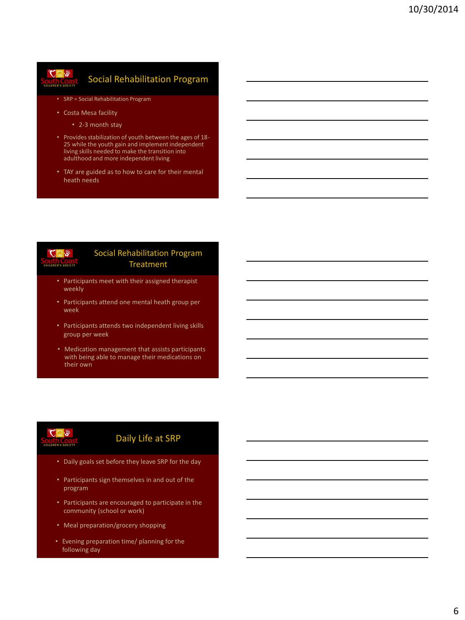### $\sqrt[4]{\omega}$

### Social Rehabilitation Program

- SRP = Social Rehabilitation Program
- Costa Mesa facility
	- 2-3 month stay
- Provides stabilization of youth between the ages of 18- 25 while the youth gain and implement independent living skills needed to make the transition into adulthood and more independent living
- TAY are guided as to how to care for their mental heath needs



#### Social Rehabilitation Program Treatment

- Participants meet with their assigned therapist weekly
- Participants attend one mental heath group per week
- Participants attends two independent living skills group per week
- Medication management that assists participants with being able to manage their medications on their own



#### Daily Life at SRP

- Daily goals set before they leave SRP for the day
- Participants sign themselves in and out of the program
- Participants are encouraged to participate in the community (school or work)
- Meal preparation/grocery shopping
- Evening preparation time/ planning for the following day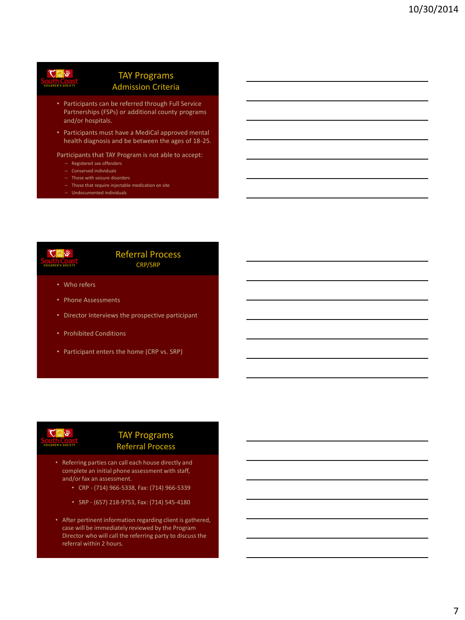# $\sqrt[4]{a}$

#### TAY Programs Admission Criteria

- Participants can be referred through Full Service Partnerships (FSPs) or additional county programs and/or hospitals.
- Participants must have a MediCal approved mental health diagnosis and be between the ages of 18-25.

#### Participants that TAY Program is not able to accept:

- Registered sex offenders
- Conserved individuals
- Those with seizure disorders
- Those that require injectable medication on site
- Undocumented individuals



#### Referral Process CRP/SRP

- Who refers
- Phone Assessments
- Director Interviews the prospective participant
- Prohibited Conditions
- Participant enters the home (CRP vs. SRP)



#### TAY Programs Referral Process

- Referring parties can call each house directly and complete an initial phone assessment with staff, and/or fax an assessment.
	- CRP (714) 966-5338, Fax: (714) 966-5339
	- SRP (657) 218-9753, Fax: (714) 545-4180
- After pertinent information regarding client is gathered, case will be immediately reviewed by the Program Director who will call the referring party to discuss the referral within 2 hours.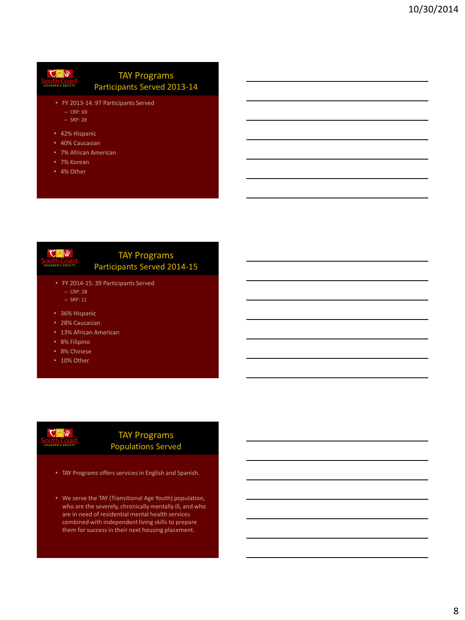#### $C_1$ TAY Programs Participants Served 2013-14

- FY 2013-14: 97 Participants Served
	- CRP: 69 – SRP: 28
- 42% Hispanic
- 40% Caucasian
- 7% African American
- 7% Korean
- 4% Other

#### TAY Programs Participants Served 2014-15

- FY 2014-15: 39 Participants Served – CRP: 28
	- SRP: 11

 $*$ 

- 36% Hispanic
- 28% Caucasian
- 13% African American
- 8% Filipino
- 8% Chinese
- 10% Other

# $*$

#### TAY Programs Populations Served

- TAY Programs offers services in English and Spanish.
- We serve the TAY (Transitional Age Youth) population, who are the severely, chronically mentally ill, and who are in need of residential mental health services combined with independent living skills to prepare them for success in their next housing placement.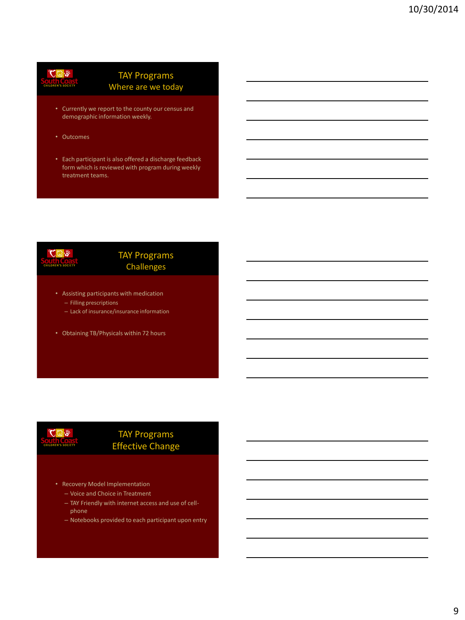### $C_0$  %

#### TAY Programs Where are we today

- Currently we report to the county our census and demographic information weekly.
- Outcomes
- Each participant is also offered a discharge feedback form which is reviewed with program during weekly treatment teams.

# ${\mathbf C}$ ଭା

#### TAY Programs Challenges

- Assisting participants with medication – Filling prescriptions
	- Lack of insurance/insurance information
- Obtaining TB/Physicals within 72 hours



#### TAY Programs Effective Change

- Recovery Model Implementation
	- Voice and Choice in Treatment
	- TAY Friendly with internet access and use of cellphone
	- Notebooks provided to each participant upon entry